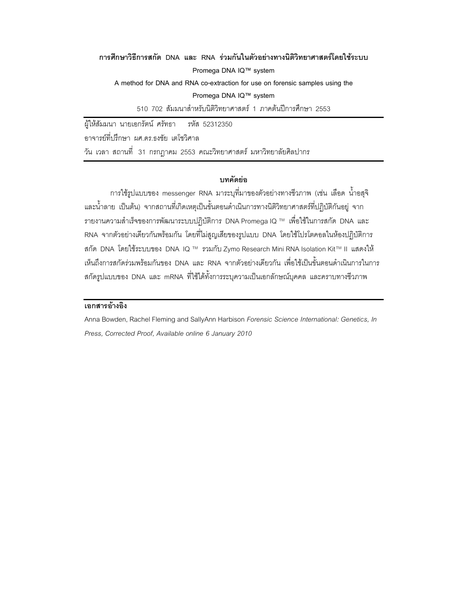# การศึกษาวิธีการสกัด DNA และ RNA ร่วมกันในตัวอย่างทางนิติวิทยาศาสตร์โดยใช้ระบบ Promega DNA IQ™ system

A method for DNA and RNA co-extraction for use on forensic samples using the Promega DNA IQ™ system

510 702 ส้มมนาสำหรับนิติวิทยาศาสตร์ 1 ภาคต้นปีการศึกษา 2553

ผู้ให้สัมมนา นายเอกรัตน์ ศรัทธา รหัส 52312350

อาจารย์ที่ปริกษา ผศ.ดร.ธงชัย เตโชวิศาล

วัน เวลา สถานที่ 31 กรกฎาคม 2553 คณะวิทยาศาสตร์ มหาวิทยาลัยศิลปากร

#### าเทคัดย่อ

การใช้รูปแบบของ messenger RNA มาระบุที่มาของตัวอย่างทางชีวภาพ (เช่น เลือด น้ำอสุจิ และน้ำลาย เป็นต้น) จากสถานที่เกิดเหตุเป็นขั้นตอนดำเนินการทางนิติวิทยาศาสตร์ที่ปฏิบัติกันอยู่ จาก รายงานความสำเร็จของการพัฒนาระบบปฏิบัติการ DNA Promega IQ ™ เพื่อใช้ในการสกัด DNA และ RNA จากตัวอย่างเดียวกันพร้อมกัน โดยที่ไม่สูญเสียของรูปแบบ DNA โดยใช้โปรโตคอลในห้องปฏิบัติการ สกัด DNA โดยใช้ระบบของ DNA IQ ™ รวมกับ Zymo Research Mini RNA Isolation Kit™ II แสดงให้ เห็นถึงการสกัดร่วมพร้อมกันของ DNA และ RNA จากตัวอย่างเดียวกัน เพื่อใช้เป็นขั้นตอนดำเนินการในการ สกัดรูปแบบของ DNA และ mRNA ที่ใช้ได้ทั้งการระบุความเป็นเอกลักษณ์บุคคล และคราบทางชีวภาพ

## เอกสารอ้างอิง

Anna Bowden, Rachel Fleming and SallyAnn Harbison Forensic Science International: Genetics, In Press, Corrected Proof, Available online 6 January 2010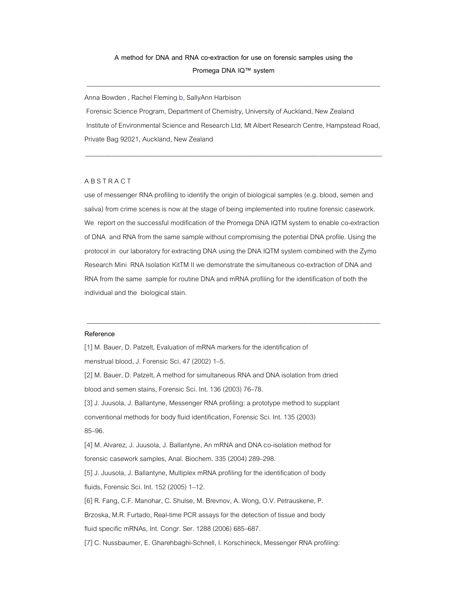#### A method for DNA and RNA co-extraction for use on forensic samples using the Promega DNA IQ™ system

\_\_\_\_\_\_\_\_\_\_\_\_\_\_\_\_\_\_\_\_\_\_\_\_\_\_\_\_\_\_\_\_\_\_\_\_\_\_\_\_\_\_\_\_\_\_\_\_\_\_\_\_\_\_\_\_\_\_\_\_\_\_\_\_\_\_\_\_\_\_\_\_\_\_\_\_\_\_\_\_\_\_\_\_\_\_\_\_\_

Anna Bowden , Rachel Fleming b, SallyAnn Harbison

 Forensic Science Program, Department of Chemistry, University of Auckland, New Zealand Institute of Environmental Science and Research Ltd, Mt Albert Research Centre, Hampstead Road, Private Bag 92021, Auckland, New Zealand

\_\_\_\_\_\_\_\_\_\_\_\_\_\_\_\_\_\_\_\_\_\_\_\_\_\_\_\_\_\_\_\_\_\_\_\_\_\_\_\_\_\_\_\_\_\_\_\_\_\_\_\_\_\_\_\_\_\_\_\_\_\_\_\_\_\_\_\_\_\_\_\_\_\_\_\_\_\_\_\_\_\_\_\_\_\_\_\_\_\_

#### **ABSTRACT**

use of messenger RNA profiling to identify the origin of biological samples (e.g. blood, semen and saliva) from crime scenes is now at the stage of being implemented into routine forensic casework. We report on the successful modification of the Promega DNA IQTM system to enable co-extraction of DNA and RNA from the same sample without compromising the potential DNA profile. Using the protocol in our laboratory for extracting DNA using the DNA IQTM system combined with the Zymo Research Mini RNA Isolation KitTM II we demonstrate the simultaneous co-extraction of DNA and RNA from the same sample for routine DNA and mRNA profiling for the identification of both the individual and the biological stain.

\_\_\_\_\_\_\_\_\_\_\_\_\_\_\_\_\_\_\_\_\_\_\_\_\_\_\_\_\_\_\_\_\_\_\_\_\_\_\_\_\_\_\_\_\_\_\_\_\_\_\_\_\_\_\_\_\_\_\_\_\_\_\_\_\_\_\_\_\_\_\_\_\_\_\_\_\_\_\_\_\_\_\_\_\_\_\_\_\_

#### Reference

[1] M. Bauer, D. Patzelt, Evaluation of mRNA markers for the identification of menstrual blood, J. Forensic Sci. 47 (2002) 1-5. [2] M. Bauer, D. Patzelt, A method for simultaneous RNA and DNA isolation from dried blood and semen stains, Forensic Sci. Int. 136 (2003) 76-78. [3] J. Juusola, J. Ballantyne, Messenger RNA profiling: a prototype method to supplant conventional methods for body fluid identification, Forensic Sci. Int. 135 (2003) 85-96. [4] M. Alvarez, J. Juusola, J. Ballantyne, An mRNA and DNA co-isolation method for forensic casework samples, Anal. Biochem. 335 (2004) 289-298. [5] J. Juusola, J. Ballantyne, Multiplex mRNA profiling for the identification of body fluids, Forensic Sci. Int. 152 (2005) 1-12. [6] R. Fang, C.F. Manohar, C. Shulse, M. Brevnov, A. Wong, O.V. Petrauskene, P. Brzoska, M.R. Furtado, Real-time PCR assays for the detection of tissue and body fluid specific mRNAs, Int. Congr. Ser. 1288 (2006) 685-687. [7] C. Nussbaumer, E. Gharehbaghi-Schnell, I. Korschineck, Messenger RNA profiling: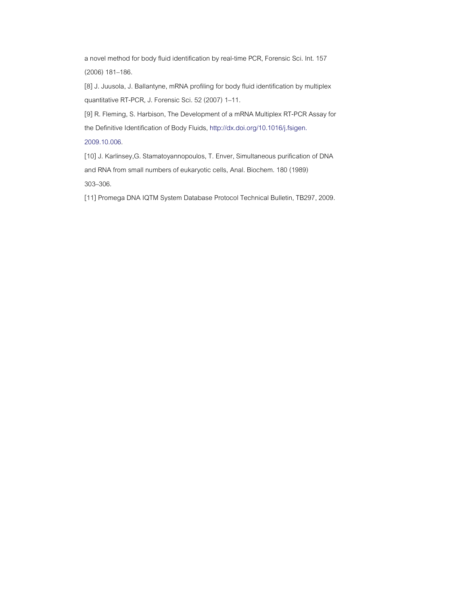a novel method for body fluid identification by real-time PCR, Forensic Sci. Int. 157 (2006) 181-186.

[8] J. Juusola, J. Ballantyne, mRNA profiling for body fluid identification by multiplex quantitative RT-PCR, J. Forensic Sci. 52 (2007) 1-11.

[9] R. Fleming, S. Harbison, The Development of a mRNA Multiplex RT-PCR Assay for the Definitive Identification of Body Fluids, http://dx.doi.org/10.1016/j.fsigen. 2009.10.006.

[10] J. Karlinsey,G. Stamatoyannopoulos, T. Enver, Simultaneous purification of DNA and RNA from small numbers of eukaryotic cells, Anal. Biochem. 180 (1989) 303-306.

[11] Promega DNA IQTM System Database Protocol Technical Bulletin, TB297, 2009.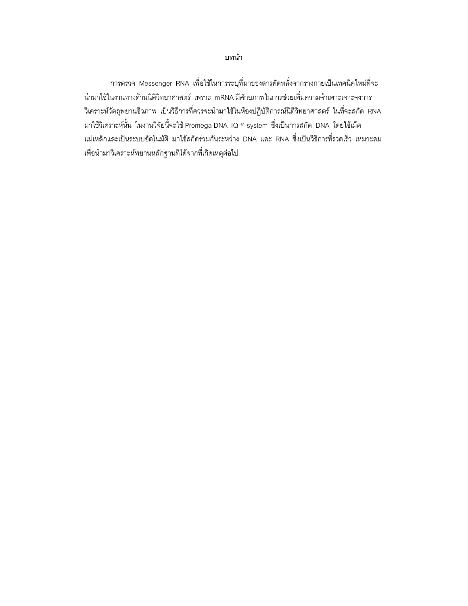#### บทนำ

การตรวจ Messenger RNA เพื่อใช้ในการระบุที่มาของสารคัดหลั่งจากร่างกายเป็นเทคนิคใหม่ที่จะ นำมาใช้ในงานทางด้านนิติวิทยาศาสตร์ เพราะ mRNA มีศักยภาพในการช่วยเพิ่มความจำเพาะเจาะจงการ วิเคราะห์วัตถุพยานชีวภาพ เป็นวิธีการที่ควรจะนำมาใช้ในห้องปฏิบัติการณ์นิติวิทยาศาสตร์ ในที่จะสกัด RNA มาใช้วิเคราะห์นั้น ในงานวิจัยนี้จะใช้ Promega DNA IQ™ system ซึ่งเป็นการสกัด DNA โดยใช้เม็ด แม่เหล็กและเป็นระบบอัตโนมัติ มาใช้สกัดร่วมกันระหว่าง DNA และ RNA ซึ่งเป็นวิธีการที่รวดเร็ว เหมาะสม เพื่อนำมาวิเคราะห์พยานหลักฐานที่ได้จากที่เกิดเหตุต่อไป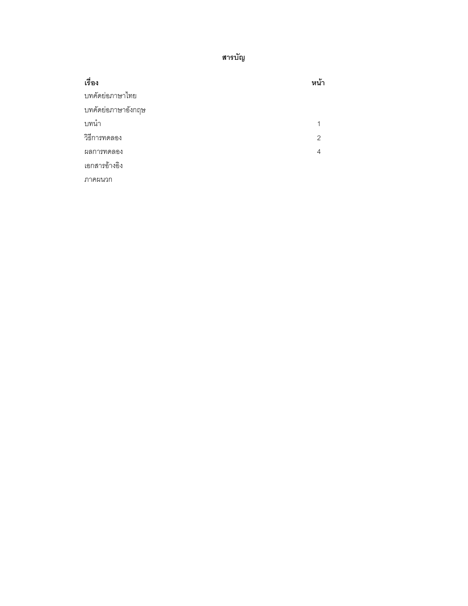สารบัญ

| เรื่อง             | หน้า          |
|--------------------|---------------|
| บทคัดย่อภาษาไทย    |               |
| บทคัดย่อภาษาอังกฤษ |               |
| บทนำ               | 1             |
| วิธีการทดลอง       | $\mathcal{P}$ |
| ผลการทดลอง         | 4             |
| เอกสารอ้างอิง      |               |
| ิภาคผนวก           |               |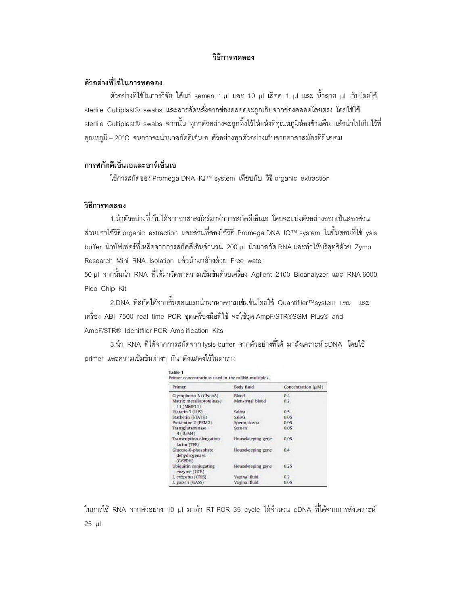#### วิธีการทดลอง

#### ตัวอย่างที่ใช้ในการทดลอง

ตัวอย่างที่ใช้ในการวิจัย ได้แก่ semen 1 µl และ 10 µl เลือด 1 µl และ น้ำลาย µl เก็บโดยใช้ sterlile Cultiplast® swabs และสารคัดหลั่งจากช่องคลอดจะถูกเก็บจากช่องคลอดโดยตรง โดยใช้ใช้ sterlile Cultiplast® swabs จากนั้น ทุกๆตัวอย่างจะถูกทิ้งไว้ให้แห้งที่อุณหภูมิห้องข้ามคืน แล้วนำไปเก็บไว้ที่ ือณหภมิ – 20°C จนกว่าจะนำมาสกัดดีเอ็นเอ ตัวอย่างทกตัวอย่างเก็บจากอาสาสมัครที่ยินยอม

## การสกัดดีเอ็นเอและอาร์เอ็นเอ

ใช้การสกัดของ Promega DNA IQ™ system เทียบกับ วิธี organic extraction

#### วิธีการทดลอง

1.นำตัวอย่างที่เก็บได้จากอาสาสมัคร์มาทำการสกัดดีเอ็นเอ โดยจะแบ่งตัวอย่างออกเป็นสองส่วน ส่วนแรกใช้วิธี organic extraction และส่วนที่สองใช้วิธี Promega DNA IQ™ system ในขั้นตอนที่ใช้ Iysis buffer นำบัฟเฟอร์ที่เหลือจากการสกัดดีเอ็นจำนวน 200 µl นำมาสกัด RNA และทำให้บริสทธิด้วย Zymo Research Mini RNA Isolation แล้วนำมาล้างด้วย Free water

50 µl จากนั้นนำ RNA ที่ได้มาวัดหาความเข้มข้นด้วยเครื่อง Agilent 2100 Bioanalyzer และ RNA 6000 Pico Chip Kit

2.DNA ที่สกัดได้จากขั้นตอนแรกนำมาหาความเข้มข้นโดยใช้ Quantifiler™system และ และ เครื่อง ABI 7500 real time PCR ชุดเครื่องมือที่ใช้ จะใช้ชุด AmpF/STR®SGM Plus® and AmpF/STR® Idenitfiler PCR Amplification Kits

3.นำ RNA ที่ได้จากการสกัดจาก lysis buffer จากตัวอย่างที่ได้ มาสังเคราะห์ cDNA โดยใช้ primer และความเข้มข้นต่างๆ กัน ดังแสดงไว้ในตาราง

| Primer                                          | Body fluid        | Concentration (µM) |
|-------------------------------------------------|-------------------|--------------------|
| Glycophorin A (GlycoA)                          | Blood             | 0.4                |
| Matrix metalloproteinase<br>11 (MMP11)          | Menstrual blood   | 0.2                |
| Histatin 3 (HIS)                                | Saliva            | 0.5                |
| Statherin (STATH)                               | Saliva            | 0.05               |
| Protamine 2 (PRM2)                              | Spermatozoa       | 0.05               |
| Transglutaminase<br>4 (TGM4)                    | Semen             | 0.05               |
| Transcription elongation<br>factor (TEF)        | Housekeeping gene | 0.05               |
| Glucose-6-phosphate<br>dehydrogenase<br>(GGPDH) | Housekeeping gene | 0.4                |
| <b>Ubiquitin conjugating</b><br>enzyme (UCE)    | Housekeeping gene | 0.25               |
| L crispatus (CRIS)                              | Vaginal fluid     | 0.2                |
| L. gasseri (GASS)                               | Vaginal fluid     | 0.05               |

ในการใช้ RNA จากตัวอย่าง 10 µl มาทำ RT-PCR 35 cycle ได้จำนวน cDNA ที่ได้จากการสังเคราะห์  $25$  ul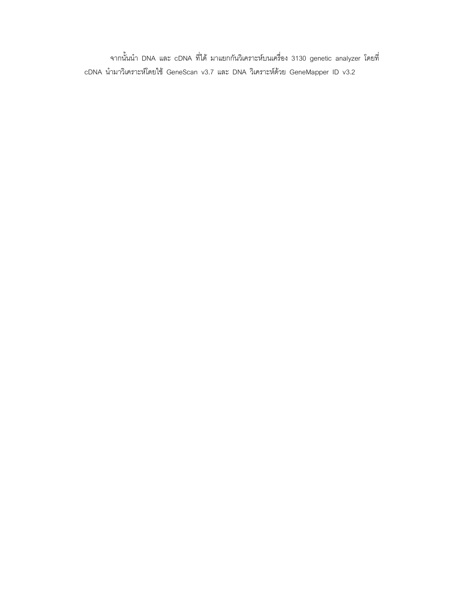จากนั้นนำ DNA และ cDNA ที่ได้ มาแยกกันวิเคราะห์บนเครื่อง 3130 genetic analyzer โดยที่ cDNA นำมาวิเคราะห์โดยใช้ GeneScan v3.7 และ DNA วิเคราะห์ด้วย GeneMapper ID v3.2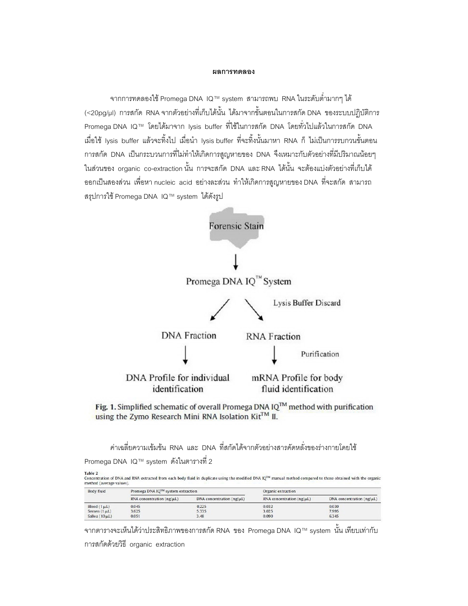## ผลการทดลอง

จากการทดลองใช้ Promega DNA IQ™ system สามารถพบ RNA ในระดับต่ำมากๆ ได้ (<20pg/µl) การสกัด RNA จากตัวอย่างที่เก็บได้นั้น ได้มาจากขั้นตอนในการสกัด DNA ของระบบปฏิบัติการ Promega DNA IQ™ โดยได้มาจาก Iysis buffer ที่ใช้ในการสกัด DNA โดยทั่วไปแล้วในการสกัด DNA เมื่อใช้ Iysis buffer แล้วจะทิ้งไป เมื่อนำ Iysis buffer ที่จะทิ้งนั้นมาหา RNA ก็ ไม่เป็นการรบกวนขั้นตอน การสกัด DNA เป็นกระบวนการที่ไม่ทำให้เกิดการสูญหายของ DNA จึงเหมาะกับตัวอย่างที่มีปริมาณน้อยๆ ในส่วนของ organic co-extraction นั้น การจะสกัด DNA และ RNA ได้นั้น จะต้องแบ่งตัวอย่างที่เก็บได้ ออกเป็นสองส่วน เพื่อหา nucleic acid อย่างละส่วน ทำให้เกิดการสูญหายของ DNA ที่จะสกัด สามารถ สรุปการใช้ Promega DNA IQ™ system ได้ดังรูป





ค่าเฉลี่ยความเข้มข้น RNA และ DNA ที่สกัดได้จากตัวอย่างสารคัดหลั่งของร่างกายโดยใช้

Promega DNA IQ™ system ดังในตารางที่ 2

| $1 \, \text{d} \, \text{d} \, \text{d} \, \text{d} \, \text{d}$                                                                                               |  |
|---------------------------------------------------------------------------------------------------------------------------------------------------------------|--|
| Concentration of DNA and RNA extracted from each body fluid in duplicate using the modified DNA IQ™ manual method compared to those obtained with the organic |  |
| method (average values).                                                                                                                                      |  |

| <b>Body fluid</b>   | Promega DNA IO™ system extraction |                                | Organic extraction                 |                                |
|---------------------|-----------------------------------|--------------------------------|------------------------------------|--------------------------------|
|                     | RNA concentration $(ng/\mu L)$    | DNA concentration $(ng/\mu L)$ | $RNA$ concentration ( $ng/\mu L$ ) | DNA concentration $(ng/\mu L)$ |
| Blood $(1 \mu L)$   | 0.045                             | 0.225                          | 0.032                              | 0.030                          |
| Semen $(1 \mu L)$   | 3.625                             | 5.335                          | 3.025                              | 7.995                          |
| Saliva $(10 \mu L)$ | 0.051                             | 3.48                           | 0.090                              | 6.345                          |

จากตารางจะเห็นได้ว่าประสิทธิภาพของการสกัด RNA ของ Promega DNA IQ™ system นั้น เทียบเท่ากับ การสกัดด้วยวิธี organic extraction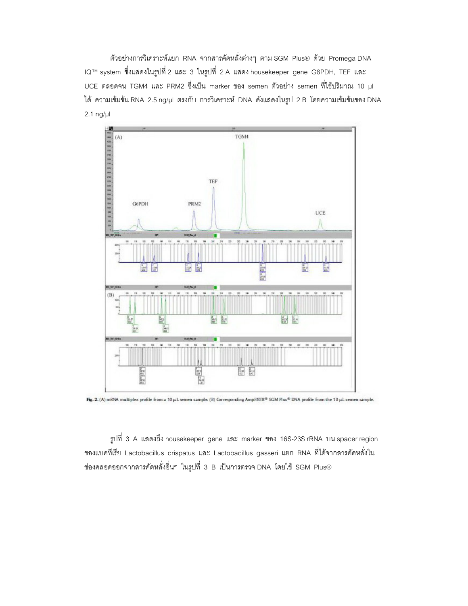ตัวอย่างการวิเคราะห์แยก RNA จากสารคัดหลั่งต่างๆ ตาม SGM Plus® ด้วย Promega DNA IQ™ system ซึ่งแสดงในรูปที่ 2 และ 3 ในรูปที่ 2 A แสดง housekeeper gene G6PDH, TEF และ UCE ตลอดจน TGM4 และ PRM2 ซึ่งเป็น marker ของ semen ตัวอย่าง semen ที่ใช้ปริมาณ 10 µl ได้ ความเข้มข้น RNA 2.5 ng/µl ตรงกับ การวิเคราะห์ DNA ดังแสดงในรูป 2 B โดยความเข้มข้นของ DNA 2.1 ng/µl



Fig. 2. (A) mRNA multiplex profile from a 10 µL semen sample (B) Corresponding AmpFISTR® SGM Plus® DNA profile from the 10 µL semen sample.

รูปที่ 3 A แสดงถึง housekeeper gene และ marker ของ 16S-23S rRNA บน spacer region ของแบคทีเรีย Lactobacillus crispatus และ Lactobacillus gasseri แยก RNA ที่ได้จากสารคัดหลั่งใน ช่องคลอดออกจากสารคัดหลั่งอื่นๆ ในรูปที่ 3 B เป็นการตรวจ DNA โดยใช้ SGM Plus®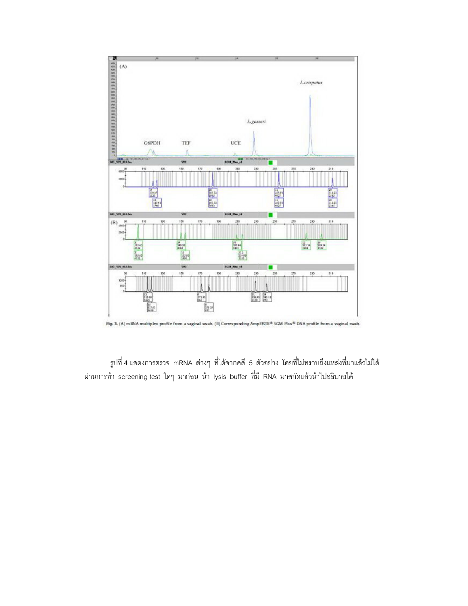

Fig. 3. (A) m RNA multiplex profile from a vaginal swah. (B) Corresponding AmpFISTR® SGM Plus® DNA profile from a vaginal swab.

รูปที่ 4 แสดงการตรวจ mRNA ต่างๆ ที่ได้จากคดี 5 ตัวอย่าง โดยที่ไม่ทราบถึงแหล่งที่มาแล้วไม่ได้ ผ่านการทำ screening test ใดๆ มาก่อน นำ lysis buffer ที่มี RNA มาสกัดแล้วนำไปอธิบายได้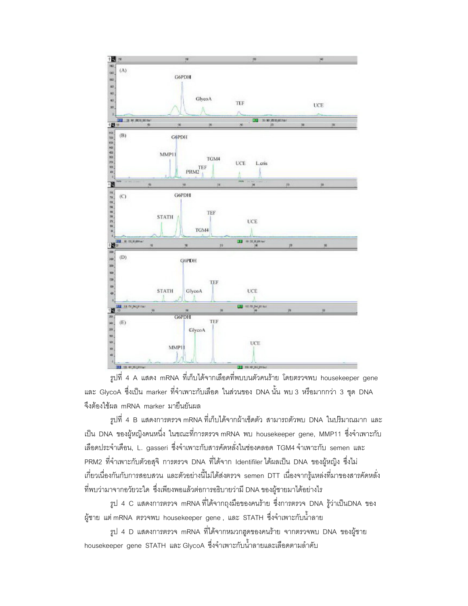

รูปที่ 4 A แสดง mRNA ที่เก็บได้จากเลือดที่พบบนตัวคนร้าย โดยตรวจพบ housekeeper gene และ GlycoA ซึ่งเป็น marker ที่จำเพาะกับเลือด ในส่วนของ DNA นั้น พบ 3 หรือมากกว่า 3 ชุด DNA จึงต้องใช้ผล mRNA marker มายืนยันผล

รูปที่ 4 B แสดงการตรวจ mRNA ที่เก็บได้จากผ้าเช็ดตัว สามารถตัวพบ DNA ในปริมาณมาก และ เป็น DNA ของผู้หญิงคนหนึ่ง ในขณะที่การตรวจ mRNA พบ housekeeper gene, MMP11 ซึ่งจำเพาะกับ เลือดประจำเดือน, L. gasseri ซึ่งจำเพาะกับสารคัดหลั่งในช่องคลอด TGM4 จำเพาะกับ semen และ PRM2 ที่จำเพาะกับตัวอสุจิ การตรวจ DNA ที่ได้จาก Identifiler ได้ผลเป็น DNA ของผู้หญิง ซึ่งไม่ เกี่ยวเนื่องกันกับการสอบสวน และตัวอย่างนี้ไม่ได้ส่งตรวจ semen DTT เนื่องจากรู้แหล่งที่มาของสารคัดหลั่ง ที่พบว่ามาจากอวัยวะใด ซึ่งเพียงพอแล้วต่อการอธิบายว่ามี DNA ของผู้ชายมาได้อย่างไร

รูป 4 C แสดงการตรวจ mRNA ที่ได้จากถุงมือของคนร้าย ซึ่งการตรวจ DNA รู้ว่าเป็นDNA ของ ผู้ชาย แต่ mRNA ตรวจพบ housekeeper gene , และ STATH ซึ่งจำเพาะกับน้ำลาย

รูป 4 D แสดงการตรวจ mRNA ที่ได้จากหมวกฮูดของคนร้าย จากตรวจพบ DNA ของผู้ชาย housekeeper gene STATH และ GlycoA ซึ่งจำเพาะกับน้ำลายและเลือดตามลำดับ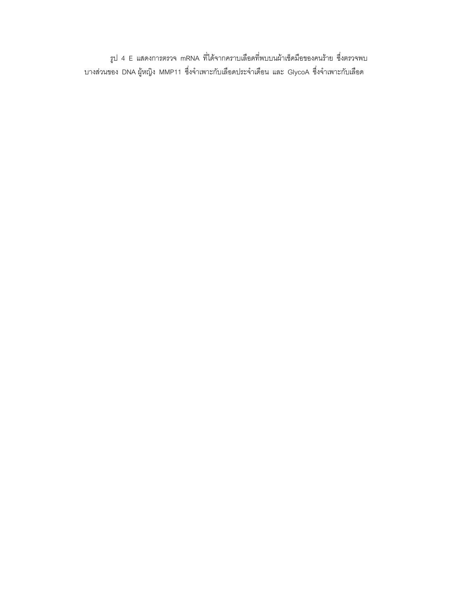รูป 4 E แสดงการตรวจ mRNA ที่ได้จากคราบเลือดที่พบบนผ้าเช็ดมือของคนร้าย ซึ่งตรวจพบ ้<br>บางส่วนของ DNA ผู้หญิง MMP11 ซึ่งจำเพาะกับเลือดประจำเดือน และ GlycoA ซึ่งจำเพาะกับเลือด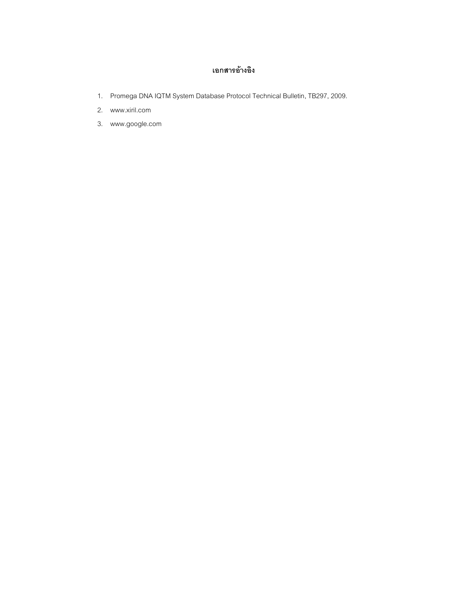## เอกสารอ้างอิง

- 1. Promega DNA IQTM System Database Protocol Technical Bulletin, TB297, 2009.
- 2. www.xiril.com
- 3. www.google.com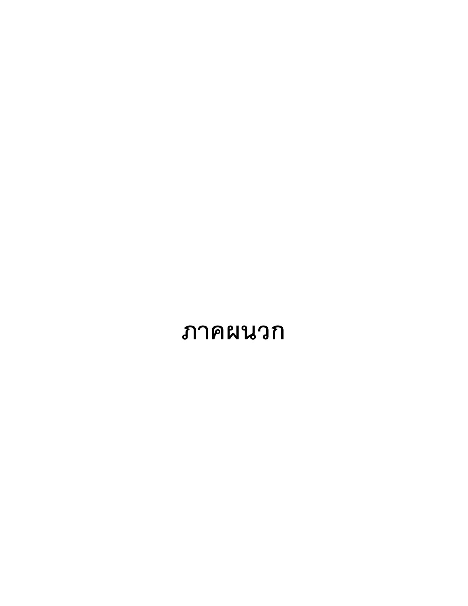# ภาคผนวก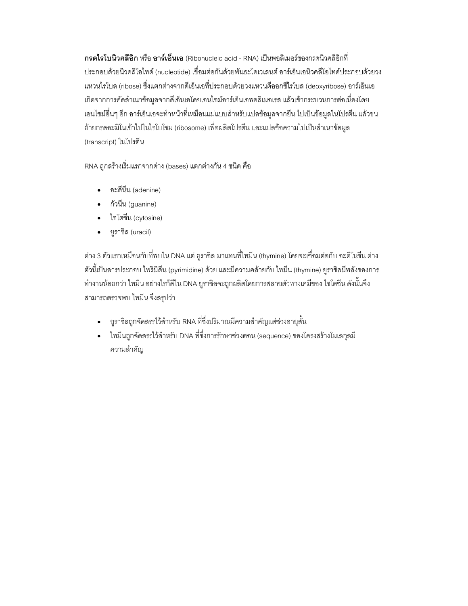**กรดไรโบนิวคลีอิก** หรือ **อาร์เอ็นเอ** (Ribonucleic acid - RNA) เป็นพอลิเมอร์ของกรดนิวคลีอิกที่ ประกอบด้วยนิวคลีโอไทด์ (nucleotide) เชื่อมต่อกันด้วยพันธะโคเวเลนต์ อาร์เอ็นเอนิวคลีโอไทด์ประกอบด้วยวง แหวนไรโบส (ribose) ซึ่งแตกต่างจากดีเอ็นเอที่ประกอบด้วยวงแหวนดีออกซีไรโบส (deoxyribose) อาร์เอ็นเอ เกิดจากการคัดสำเนาข้อมูลจากดีเอ็นเอโดยเอนไซม์อาร์เอ็นเอพอลิเมอเรส แล้วเข้ากระบวนการต่อเนื่องโดย เอนไซม์อื่นๆ อีก อาร์เอ็นเอจะทำหน้าที่เหมือนแม่แบบลำหรับแปลข้อมูลจากยืน ไปเป็นข้อมูลในโปรตีน แล้วขน ย้ายกรดอะมิโนเข้าไปในไรโบโซม (ribosome) เพื่อผลิตโปรตีน และแปลข้อความไปเป็นสำเนาข้อมูล (transcript) ในโปรตีน

RNA ถูกสร้างเริ่มแรกจากด่าง (bases) แตกต่างกัน 4 ชนิด คือ

- อะดีนี้น (adenine)
- กัวนี้น (guanine)
- ไซโตซีน (cytosine)
- ยูราซิล (uracil)

่ ด่าง 3 ตัวแรกเหมือนกับที่พบใน DNA แต่ ยูราซิล มาแทนที่ไทมีน (thymine) โดยจะเชื่อมต่อกับ อะดีโนซีน ด่าง ตัวนี้เป็นสารประกอบ ไพริมิดีน (pyrimidine) ด้วย และมีความคล้ายกับ ไทมีน (thymine) ยูราซิลมีพลังของการ ์ ทำงานน้อยกว่า ไทมีน อย่างไรก็ดีใน DNA ยูราชิลจะถูกผลิตโดยการสลายตัวทางเคมีของ ไซโตซีน ดังนั้นจึง สามารถตรวจพบ ไทมีน จึงสรุปว่า

- ยูราซิลถูกจัดสรรไว้สำหรับ RNA ที่ซึ่งปริมาณมีความสำคัญแต่ช่วงอายุสั้น
- ไทมีนถูกจัดสรรไว้สำหรับ DNA ที่ซึ่งการรักษาช่วงตอน (sequence) ของโครงสร้างโมเลกุลมี ความสำคัญ